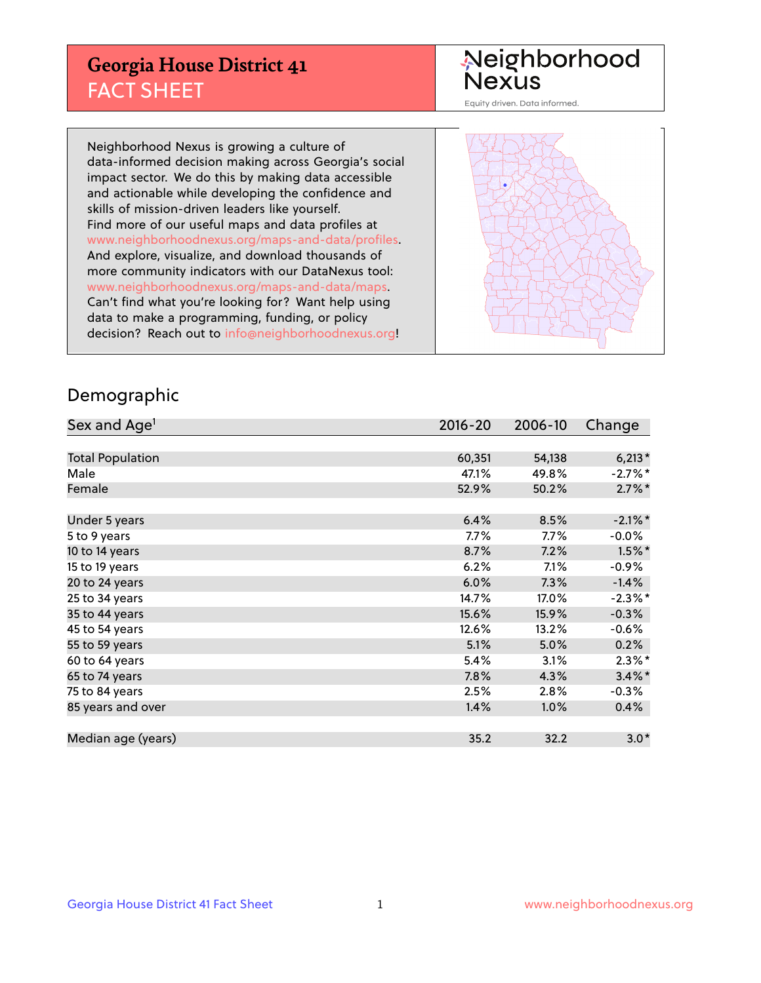## **Georgia House District 41** FACT SHEET

# Neighborhood<br>Nexus

Equity driven. Data informed.

Neighborhood Nexus is growing a culture of data-informed decision making across Georgia's social impact sector. We do this by making data accessible and actionable while developing the confidence and skills of mission-driven leaders like yourself. Find more of our useful maps and data profiles at www.neighborhoodnexus.org/maps-and-data/profiles. And explore, visualize, and download thousands of more community indicators with our DataNexus tool: www.neighborhoodnexus.org/maps-and-data/maps. Can't find what you're looking for? Want help using data to make a programming, funding, or policy decision? Reach out to [info@neighborhoodnexus.org!](mailto:info@neighborhoodnexus.org)



### Demographic

| Sex and Age <sup>1</sup> | $2016 - 20$ | 2006-10 | Change     |
|--------------------------|-------------|---------|------------|
|                          |             |         |            |
| <b>Total Population</b>  | 60,351      | 54,138  | $6,213*$   |
| Male                     | 47.1%       | 49.8%   | $-2.7%$ *  |
| Female                   | 52.9%       | 50.2%   | $2.7\%$ *  |
|                          |             |         |            |
| Under 5 years            | 6.4%        | 8.5%    | $-2.1\%$ * |
| 5 to 9 years             | $7.7\%$     | $7.7\%$ | $-0.0\%$   |
| 10 to 14 years           | 8.7%        | 7.2%    | $1.5\%$ *  |
| 15 to 19 years           | 6.2%        | 7.1%    | $-0.9%$    |
| 20 to 24 years           | 6.0%        | 7.3%    | $-1.4%$    |
| 25 to 34 years           | 14.7%       | 17.0%   | $-2.3\%$ * |
| 35 to 44 years           | 15.6%       | 15.9%   | $-0.3%$    |
| 45 to 54 years           | 12.6%       | 13.2%   | $-0.6%$    |
| 55 to 59 years           | 5.1%        | 5.0%    | 0.2%       |
| 60 to 64 years           | 5.4%        | 3.1%    | $2.3\%$ *  |
| 65 to 74 years           | 7.8%        | 4.3%    | $3.4\%$ *  |
| 75 to 84 years           | 2.5%        | 2.8%    | $-0.3%$    |
| 85 years and over        | 1.4%        | 1.0%    | 0.4%       |
|                          |             |         |            |
| Median age (years)       | 35.2        | 32.2    | $3.0*$     |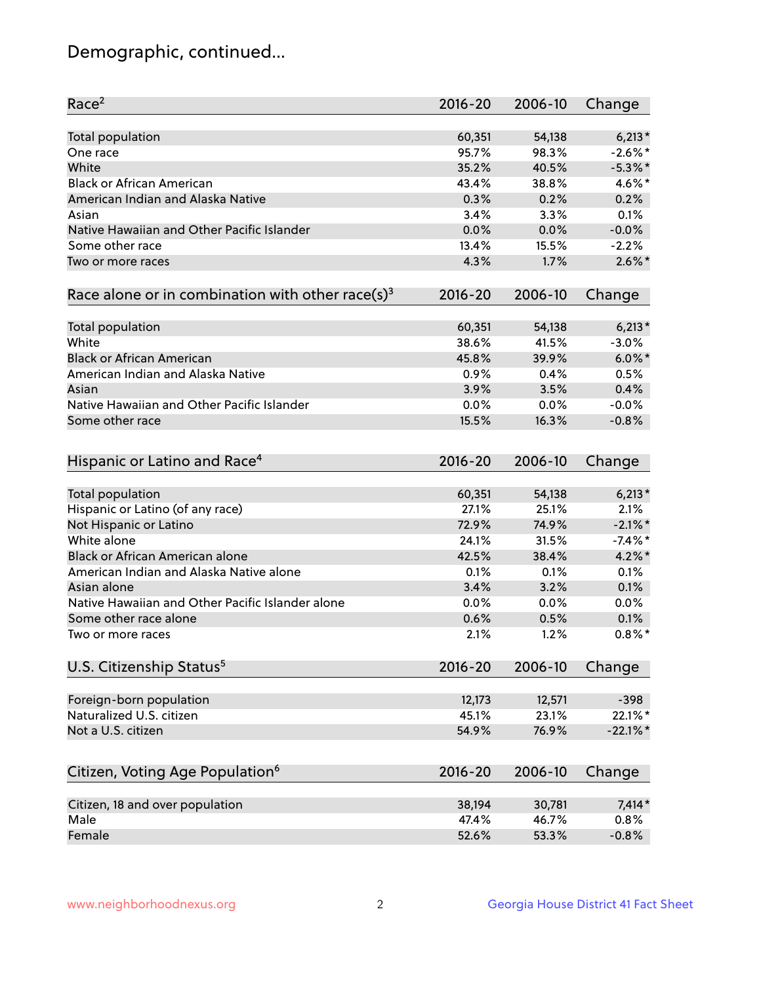## Demographic, continued...

| Race <sup>2</sup>                                            | $2016 - 20$  | 2006-10      | Change            |
|--------------------------------------------------------------|--------------|--------------|-------------------|
| <b>Total population</b>                                      | 60,351       | 54,138       | $6,213*$          |
| One race                                                     | 95.7%        | 98.3%        | $-2.6\%$ *        |
| White                                                        | 35.2%        | 40.5%        | $-5.3\%$ *        |
| <b>Black or African American</b>                             | 43.4%        | 38.8%        | 4.6%*             |
| American Indian and Alaska Native                            | 0.3%         | 0.2%         | 0.2%              |
| Asian                                                        | 3.4%         | 3.3%         | 0.1%              |
| Native Hawaiian and Other Pacific Islander                   | 0.0%         | 0.0%         | $-0.0%$           |
| Some other race                                              | 13.4%        | 15.5%        | $-2.2%$           |
| Two or more races                                            | 4.3%         | 1.7%         | $2.6\%$ *         |
| Race alone or in combination with other race(s) <sup>3</sup> | $2016 - 20$  | 2006-10      | Change            |
|                                                              |              |              |                   |
| Total population                                             | 60,351       | 54,138       | $6,213*$          |
| White                                                        | 38.6%        | 41.5%        | $-3.0%$           |
| <b>Black or African American</b>                             | 45.8%        | 39.9%        | $6.0\%$ *         |
| American Indian and Alaska Native                            | 0.9%         | 0.4%         | 0.5%              |
| Asian                                                        | 3.9%         | 3.5%         | 0.4%              |
| Native Hawaiian and Other Pacific Islander                   | 0.0%         | 0.0%         | $-0.0%$           |
| Some other race                                              | 15.5%        | 16.3%        | $-0.8%$           |
| Hispanic or Latino and Race <sup>4</sup>                     | $2016 - 20$  | 2006-10      | Change            |
| <b>Total population</b>                                      | 60,351       | 54,138       | $6,213*$          |
| Hispanic or Latino (of any race)                             | 27.1%        | 25.1%        | 2.1%              |
| Not Hispanic or Latino                                       | 72.9%        | 74.9%        | $-2.1\%$ *        |
| White alone                                                  | 24.1%        | 31.5%        | $-7.4%$ *         |
| <b>Black or African American alone</b>                       | 42.5%        | 38.4%        | $4.2\%$ *         |
| American Indian and Alaska Native alone                      | 0.1%         | 0.1%         | 0.1%              |
| Asian alone                                                  | 3.4%         | 3.2%         | 0.1%              |
| Native Hawaiian and Other Pacific Islander alone             |              |              | 0.0%              |
|                                                              | 0.0%         | 0.0%         |                   |
| Some other race alone<br>Two or more races                   | 0.6%<br>2.1% | 0.5%<br>1.2% | 0.1%<br>$0.8\%$ * |
|                                                              |              |              |                   |
| U.S. Citizenship Status <sup>5</sup>                         | 2016-20      | 2006-10      | Change            |
| Foreign-born population                                      | 12,173       | 12,571       | $-398$            |
| Naturalized U.S. citizen                                     | 45.1%        | 23.1%        | 22.1%*            |
| Not a U.S. citizen                                           | 54.9%        | 76.9%        | $-22.1\%$ *       |
|                                                              |              |              |                   |
| Citizen, Voting Age Population <sup>6</sup>                  | 2016-20      | 2006-10      | Change            |
| Citizen, 18 and over population                              | 38,194       | 30,781       | $7,414*$          |
| Male                                                         | 47.4%        | 46.7%        | 0.8%              |
| Female                                                       | 52.6%        | 53.3%        | $-0.8%$           |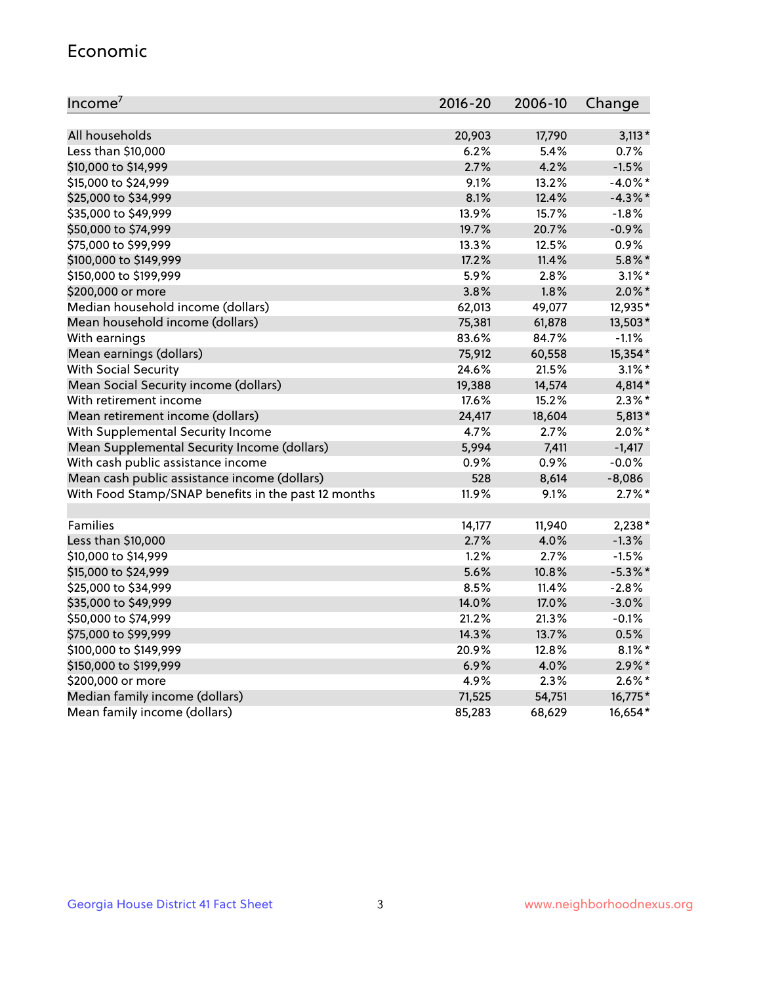#### Economic

| Income <sup>7</sup>                                 | $2016 - 20$ | 2006-10 | Change     |
|-----------------------------------------------------|-------------|---------|------------|
|                                                     |             |         |            |
| All households                                      | 20,903      | 17,790  | $3,113*$   |
| Less than \$10,000                                  | 6.2%        | 5.4%    | 0.7%       |
| \$10,000 to \$14,999                                | 2.7%        | 4.2%    | $-1.5%$    |
| \$15,000 to \$24,999                                | 9.1%        | 13.2%   | $-4.0\%$ * |
| \$25,000 to \$34,999                                | 8.1%        | 12.4%   | $-4.3\%$ * |
| \$35,000 to \$49,999                                | 13.9%       | 15.7%   | $-1.8%$    |
| \$50,000 to \$74,999                                | 19.7%       | 20.7%   | $-0.9%$    |
| \$75,000 to \$99,999                                | 13.3%       | 12.5%   | 0.9%       |
| \$100,000 to \$149,999                              | 17.2%       | 11.4%   | $5.8\%$ *  |
| \$150,000 to \$199,999                              | 5.9%        | 2.8%    | $3.1\%$ *  |
| \$200,000 or more                                   | 3.8%        | 1.8%    | $2.0\%$ *  |
| Median household income (dollars)                   | 62,013      | 49,077  | 12,935*    |
| Mean household income (dollars)                     | 75,381      | 61,878  | 13,503*    |
| With earnings                                       | 83.6%       | 84.7%   | $-1.1%$    |
| Mean earnings (dollars)                             | 75,912      | 60,558  | 15,354*    |
| <b>With Social Security</b>                         | 24.6%       | 21.5%   | $3.1\%$ *  |
| Mean Social Security income (dollars)               | 19,388      | 14,574  | 4,814*     |
| With retirement income                              | 17.6%       | 15.2%   | $2.3\%$ *  |
| Mean retirement income (dollars)                    | 24,417      | 18,604  | $5,813*$   |
| With Supplemental Security Income                   | 4.7%        | 2.7%    | $2.0\%$ *  |
| Mean Supplemental Security Income (dollars)         | 5,994       | 7,411   | $-1,417$   |
| With cash public assistance income                  | 0.9%        | 0.9%    | $-0.0%$    |
| Mean cash public assistance income (dollars)        | 528         | 8,614   | $-8,086$   |
| With Food Stamp/SNAP benefits in the past 12 months | 11.9%       | 9.1%    | $2.7\%$ *  |
|                                                     |             |         |            |
| Families                                            | 14,177      | 11,940  | $2,238*$   |
| Less than \$10,000                                  | 2.7%        | 4.0%    | $-1.3%$    |
| \$10,000 to \$14,999                                | 1.2%        | 2.7%    | $-1.5%$    |
| \$15,000 to \$24,999                                | 5.6%        | 10.8%   | $-5.3\%$ * |
| \$25,000 to \$34,999                                | 8.5%        | 11.4%   | $-2.8%$    |
| \$35,000 to \$49,999                                | 14.0%       | 17.0%   | $-3.0%$    |
| \$50,000 to \$74,999                                | 21.2%       | 21.3%   | $-0.1%$    |
| \$75,000 to \$99,999                                | 14.3%       | 13.7%   | 0.5%       |
| \$100,000 to \$149,999                              | 20.9%       | 12.8%   | $8.1\%$ *  |
| \$150,000 to \$199,999                              | 6.9%        | 4.0%    | $2.9\%$ *  |
| \$200,000 or more                                   | 4.9%        | 2.3%    | $2.6\%$ *  |
| Median family income (dollars)                      | 71,525      | 54,751  | 16,775*    |
| Mean family income (dollars)                        | 85,283      | 68,629  | 16,654*    |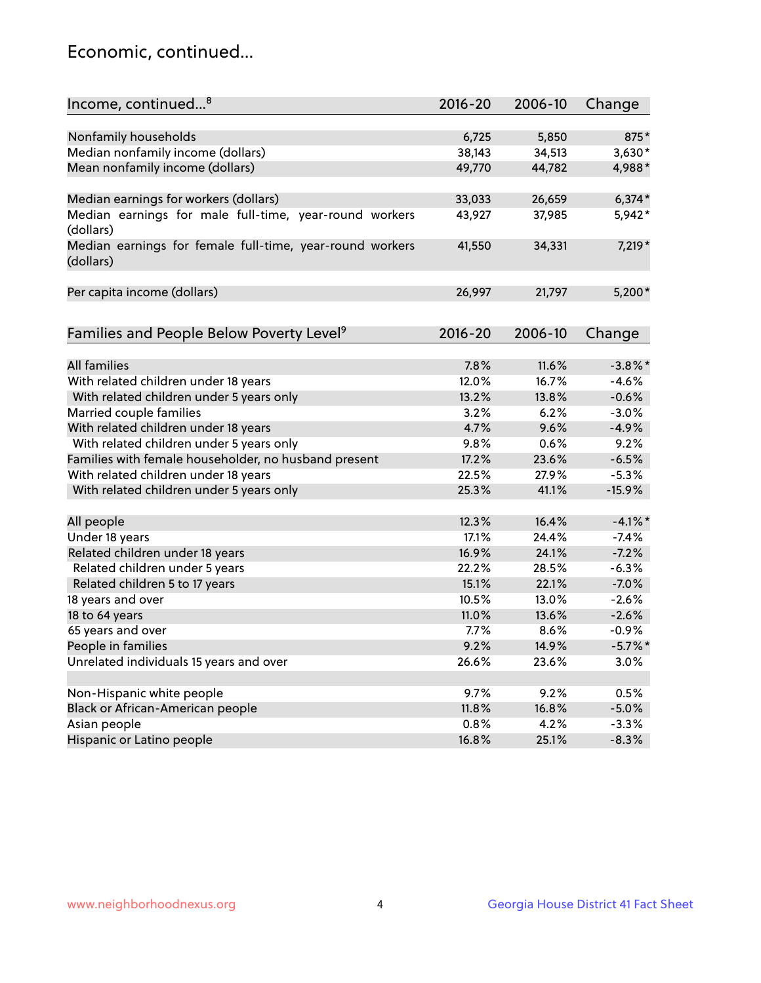## Economic, continued...

| Income, continued <sup>8</sup>                                        | $2016 - 20$ | 2006-10 | Change     |
|-----------------------------------------------------------------------|-------------|---------|------------|
|                                                                       |             |         |            |
| Nonfamily households                                                  | 6,725       | 5,850   | 875*       |
| Median nonfamily income (dollars)                                     | 38,143      | 34,513  | $3,630*$   |
| Mean nonfamily income (dollars)                                       | 49,770      | 44,782  | 4,988*     |
| Median earnings for workers (dollars)                                 | 33,033      | 26,659  | $6,374*$   |
| Median earnings for male full-time, year-round workers                | 43,927      | 37,985  | 5,942*     |
| (dollars)                                                             |             |         |            |
| Median earnings for female full-time, year-round workers<br>(dollars) | 41,550      | 34,331  | 7,219 *    |
| Per capita income (dollars)                                           | 26,997      | 21,797  | $5,200*$   |
|                                                                       |             |         |            |
| Families and People Below Poverty Level <sup>9</sup>                  | $2016 - 20$ | 2006-10 | Change     |
|                                                                       |             |         |            |
| <b>All families</b>                                                   | 7.8%        | 11.6%   | $-3.8\%$ * |
| With related children under 18 years                                  | 12.0%       | 16.7%   | $-4.6%$    |
| With related children under 5 years only                              | 13.2%       | 13.8%   | $-0.6%$    |
| Married couple families                                               | 3.2%        | 6.2%    | $-3.0%$    |
| With related children under 18 years                                  | 4.7%        | 9.6%    | $-4.9%$    |
| With related children under 5 years only                              | 9.8%        | 0.6%    | 9.2%       |
| Families with female householder, no husband present                  | 17.2%       | 23.6%   | $-6.5%$    |
| With related children under 18 years                                  | 22.5%       | 27.9%   | $-5.3%$    |
| With related children under 5 years only                              | 25.3%       | 41.1%   | $-15.9%$   |
| All people                                                            | 12.3%       | 16.4%   | $-4.1\%$ * |
| Under 18 years                                                        | 17.1%       | 24.4%   | $-7.4%$    |
| Related children under 18 years                                       | 16.9%       | 24.1%   | $-7.2%$    |
| Related children under 5 years                                        | 22.2%       | 28.5%   | $-6.3%$    |
| Related children 5 to 17 years                                        | 15.1%       | 22.1%   | $-7.0%$    |
| 18 years and over                                                     | 10.5%       | 13.0%   | $-2.6%$    |
| 18 to 64 years                                                        | 11.0%       | 13.6%   | $-2.6%$    |
| 65 years and over                                                     | 7.7%        | 8.6%    | $-0.9%$    |
| People in families                                                    | 9.2%        | 14.9%   | $-5.7\%$ * |
| Unrelated individuals 15 years and over                               | 26.6%       | 23.6%   | 3.0%       |
|                                                                       |             |         |            |
| Non-Hispanic white people                                             | 9.7%        | 9.2%    | 0.5%       |
| Black or African-American people                                      | 11.8%       | 16.8%   | $-5.0%$    |
| Asian people                                                          | 0.8%        | 4.2%    | $-3.3%$    |
| Hispanic or Latino people                                             | 16.8%       | 25.1%   | $-8.3%$    |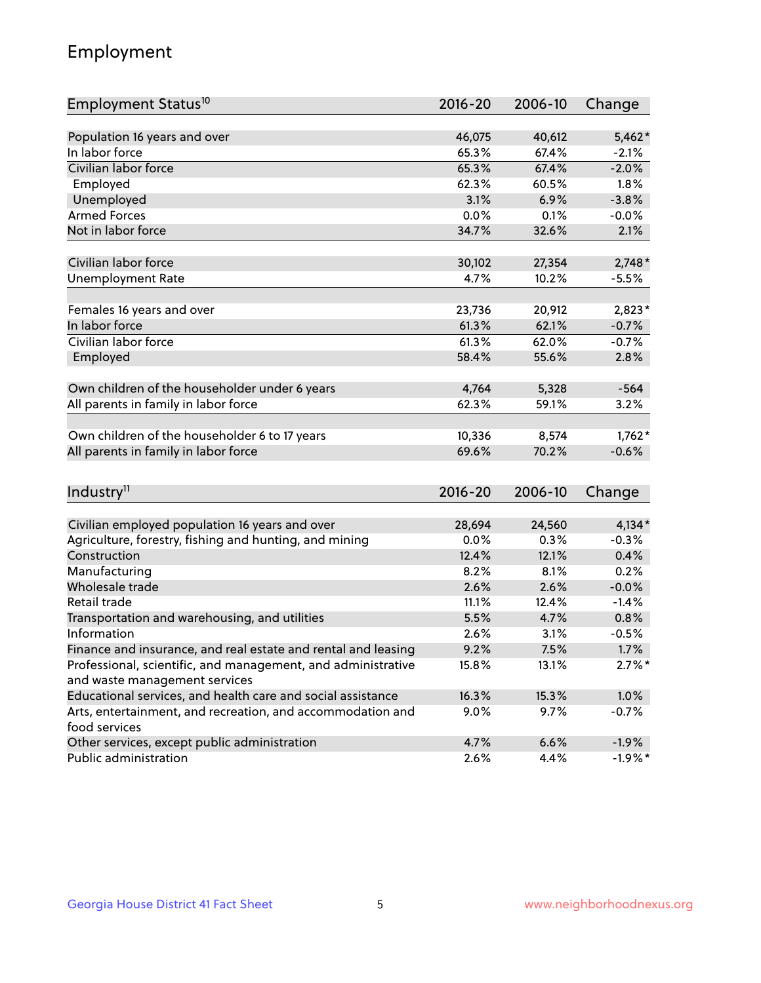## Employment

| Employment Status <sup>10</sup>                                                               | $2016 - 20$ | 2006-10 | Change    |
|-----------------------------------------------------------------------------------------------|-------------|---------|-----------|
|                                                                                               |             |         |           |
| Population 16 years and over                                                                  | 46,075      | 40,612  | $5,462*$  |
| In labor force                                                                                | 65.3%       | 67.4%   | $-2.1%$   |
| Civilian labor force                                                                          | 65.3%       | 67.4%   | $-2.0%$   |
| Employed                                                                                      | 62.3%       | 60.5%   | 1.8%      |
| Unemployed                                                                                    | 3.1%        | 6.9%    | $-3.8%$   |
| <b>Armed Forces</b>                                                                           | 0.0%        | 0.1%    | $-0.0%$   |
| Not in labor force                                                                            | 34.7%       | 32.6%   | 2.1%      |
| Civilian labor force                                                                          | 30,102      | 27,354  | $2,748*$  |
| <b>Unemployment Rate</b>                                                                      | 4.7%        | 10.2%   | $-5.5%$   |
|                                                                                               |             |         |           |
| Females 16 years and over                                                                     | 23,736      | 20,912  | $2,823*$  |
| In labor force                                                                                | 61.3%       | 62.1%   | $-0.7%$   |
| Civilian labor force                                                                          | 61.3%       | 62.0%   | $-0.7%$   |
| Employed                                                                                      | 58.4%       | 55.6%   | 2.8%      |
|                                                                                               |             |         |           |
| Own children of the householder under 6 years                                                 | 4,764       | 5,328   | $-564$    |
| All parents in family in labor force                                                          | 62.3%       | 59.1%   | 3.2%      |
| Own children of the householder 6 to 17 years                                                 | 10,336      | 8,574   | $1,762*$  |
| All parents in family in labor force                                                          | 69.6%       | 70.2%   | $-0.6%$   |
|                                                                                               |             |         |           |
| Industry <sup>11</sup>                                                                        | $2016 - 20$ | 2006-10 | Change    |
|                                                                                               |             |         |           |
| Civilian employed population 16 years and over                                                | 28,694      | 24,560  | $4,134*$  |
| Agriculture, forestry, fishing and hunting, and mining                                        | 0.0%        | 0.3%    | $-0.3%$   |
| Construction                                                                                  | 12.4%       | 12.1%   | 0.4%      |
| Manufacturing                                                                                 | 8.2%        | 8.1%    | 0.2%      |
| Wholesale trade                                                                               | 2.6%        | 2.6%    | $-0.0%$   |
| Retail trade                                                                                  | 11.1%       | 12.4%   | $-1.4%$   |
| Transportation and warehousing, and utilities                                                 | 5.5%        | 4.7%    | 0.8%      |
| Information                                                                                   | 2.6%        | 3.1%    | $-0.5%$   |
| Finance and insurance, and real estate and rental and leasing                                 | 9.2%        | 7.5%    | 1.7%      |
| Professional, scientific, and management, and administrative<br>and waste management services | 15.8%       | 13.1%   | $2.7\%$ * |
| Educational services, and health care and social assistance                                   | 16.3%       | 15.3%   | 1.0%      |
| Arts, entertainment, and recreation, and accommodation and                                    | 9.0%        | 9.7%    | $-0.7%$   |
| food services                                                                                 |             |         |           |
| Other services, except public administration                                                  | 4.7%        | 6.6%    | $-1.9%$   |
| Public administration                                                                         | 2.6%        | 4.4%    | $-1.9%$ * |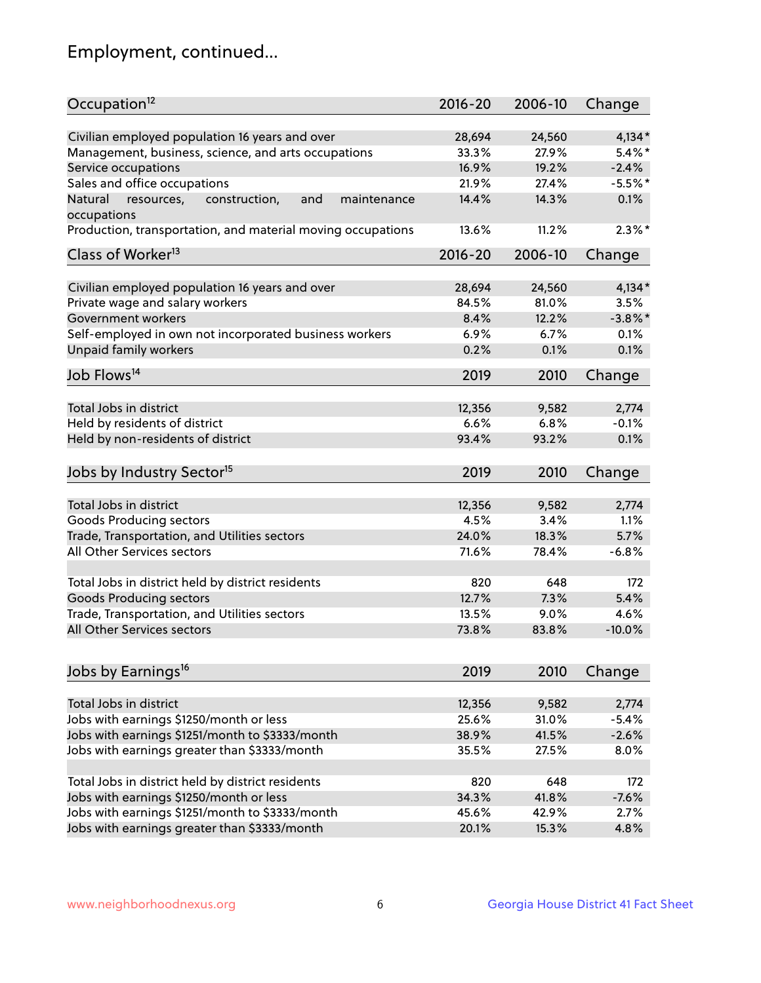## Employment, continued...

| Occupation <sup>12</sup>                                     | $2016 - 20$ | 2006-10 | Change     |
|--------------------------------------------------------------|-------------|---------|------------|
| Civilian employed population 16 years and over               | 28,694      | 24,560  | $4,134*$   |
| Management, business, science, and arts occupations          | 33.3%       | 27.9%   | $5.4\%$ *  |
| Service occupations                                          | 16.9%       | 19.2%   | $-2.4%$    |
| Sales and office occupations                                 | 21.9%       | 27.4%   | $-5.5%$ *  |
| Natural<br>and<br>resources,<br>construction,<br>maintenance | 14.4%       | 14.3%   | 0.1%       |
| occupations                                                  |             |         |            |
| Production, transportation, and material moving occupations  | 13.6%       | 11.2%   | $2.3\%$ *  |
| Class of Worker <sup>13</sup>                                | $2016 - 20$ | 2006-10 | Change     |
|                                                              |             |         |            |
| Civilian employed population 16 years and over               | 28,694      | 24,560  | $4,134*$   |
| Private wage and salary workers                              | 84.5%       | 81.0%   | 3.5%       |
| Government workers                                           | 8.4%        | 12.2%   | $-3.8\%$ * |
| Self-employed in own not incorporated business workers       | 6.9%        | 6.7%    | 0.1%       |
| Unpaid family workers                                        | 0.2%        | 0.1%    | 0.1%       |
| Job Flows <sup>14</sup>                                      | 2019        | 2010    | Change     |
|                                                              |             |         |            |
| Total Jobs in district                                       | 12,356      | 9,582   | 2,774      |
| Held by residents of district                                | 6.6%        | 6.8%    | $-0.1%$    |
| Held by non-residents of district                            | 93.4%       | 93.2%   | 0.1%       |
| Jobs by Industry Sector <sup>15</sup>                        | 2019        | 2010    | Change     |
|                                                              |             |         |            |
| Total Jobs in district                                       | 12,356      | 9,582   | 2,774      |
| Goods Producing sectors                                      | 4.5%        | 3.4%    | 1.1%       |
| Trade, Transportation, and Utilities sectors                 | 24.0%       | 18.3%   | 5.7%       |
| All Other Services sectors                                   | 71.6%       | 78.4%   | $-6.8%$    |
|                                                              |             |         |            |
| Total Jobs in district held by district residents            | 820         | 648     | 172        |
| <b>Goods Producing sectors</b>                               | 12.7%       | 7.3%    | 5.4%       |
| Trade, Transportation, and Utilities sectors                 | 13.5%       | 9.0%    | 4.6%       |
| All Other Services sectors                                   | 73.8%       | 83.8%   | $-10.0%$   |
| Jobs by Earnings <sup>16</sup>                               | 2019        | 2010    | Change     |
|                                                              |             |         |            |
| Total Jobs in district                                       | 12,356      | 9,582   | 2,774      |
| Jobs with earnings \$1250/month or less                      | 25.6%       | 31.0%   | $-5.4%$    |
| Jobs with earnings \$1251/month to \$3333/month              | 38.9%       | 41.5%   | $-2.6%$    |
| Jobs with earnings greater than \$3333/month                 | 35.5%       | 27.5%   | 8.0%       |
|                                                              |             |         |            |
| Total Jobs in district held by district residents            | 820         | 648     | 172        |
| Jobs with earnings \$1250/month or less                      | 34.3%       | 41.8%   | $-7.6%$    |
| Jobs with earnings \$1251/month to \$3333/month              | 45.6%       | 42.9%   | 2.7%       |
| Jobs with earnings greater than \$3333/month                 | 20.1%       | 15.3%   | 4.8%       |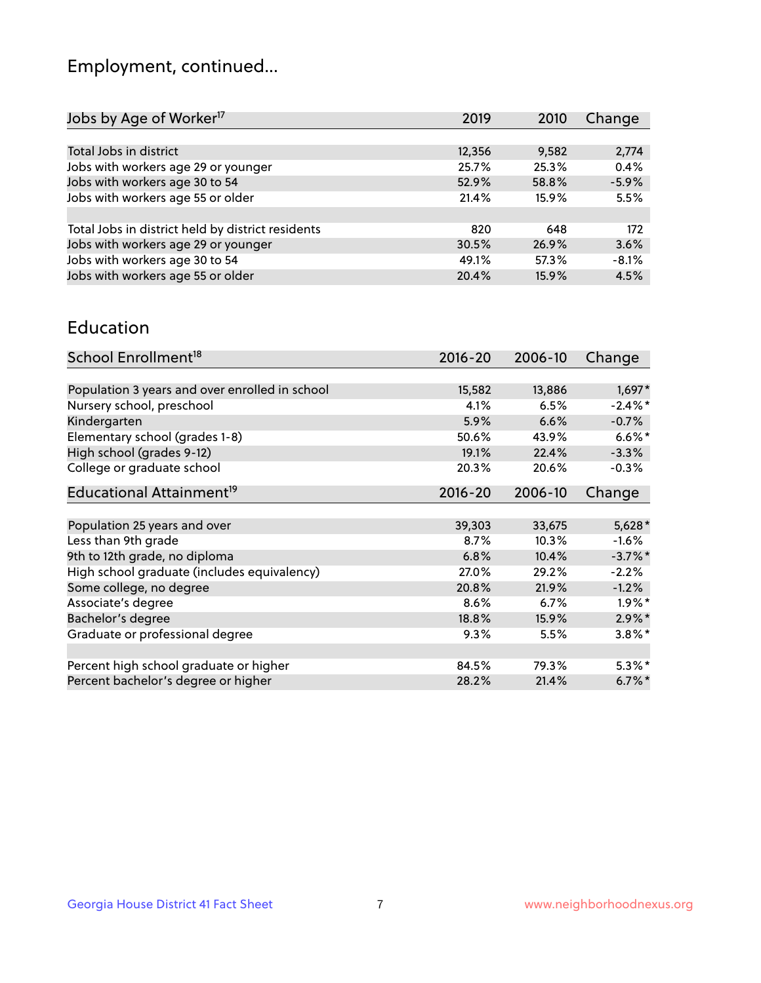## Employment, continued...

| Jobs by Age of Worker <sup>17</sup>               | 2019   | 2010  | Change  |
|---------------------------------------------------|--------|-------|---------|
|                                                   |        |       |         |
| Total Jobs in district                            | 12,356 | 9,582 | 2,774   |
| Jobs with workers age 29 or younger               | 25.7%  | 25.3% | 0.4%    |
| Jobs with workers age 30 to 54                    | 52.9%  | 58.8% | $-5.9%$ |
| Jobs with workers age 55 or older                 | 21.4%  | 15.9% | 5.5%    |
|                                                   |        |       |         |
| Total Jobs in district held by district residents | 820    | 648   | 172     |
| Jobs with workers age 29 or younger               | 30.5%  | 26.9% | 3.6%    |
| Jobs with workers age 30 to 54                    | 49.1%  | 57.3% | $-8.1%$ |
| Jobs with workers age 55 or older                 | 20.4%  | 15.9% | 4.5%    |

#### Education

| School Enrollment <sup>18</sup>                | $2016 - 20$ | 2006-10 | Change     |
|------------------------------------------------|-------------|---------|------------|
|                                                |             |         |            |
| Population 3 years and over enrolled in school | 15,582      | 13,886  | $1,697*$   |
| Nursery school, preschool                      | 4.1%        | 6.5%    | $-2.4\%$ * |
| Kindergarten                                   | 5.9%        | 6.6%    | $-0.7%$    |
| Elementary school (grades 1-8)                 | 50.6%       | 43.9%   | $6.6\%$ *  |
| High school (grades 9-12)                      | 19.1%       | 22.4%   | $-3.3%$    |
| College or graduate school                     | 20.3%       | 20.6%   | $-0.3%$    |
| Educational Attainment <sup>19</sup>           | $2016 - 20$ | 2006-10 | Change     |
|                                                |             |         |            |
| Population 25 years and over                   | 39,303      | 33,675  | $5,628*$   |
| Less than 9th grade                            | 8.7%        | 10.3%   | $-1.6%$    |
| 9th to 12th grade, no diploma                  | 6.8%        | 10.4%   | $-3.7%$ *  |
| High school graduate (includes equivalency)    | 27.0%       | 29.2%   | $-2.2%$    |
| Some college, no degree                        | 20.8%       | 21.9%   | $-1.2%$    |
| Associate's degree                             | 8.6%        | 6.7%    | $1.9\%$ *  |
| Bachelor's degree                              | 18.8%       | 15.9%   | $2.9\%$ *  |
| Graduate or professional degree                | 9.3%        | 5.5%    | $3.8\%$ *  |
|                                                |             |         |            |
| Percent high school graduate or higher         | 84.5%       | 79.3%   | $5.3\%$ *  |
| Percent bachelor's degree or higher            | 28.2%       | 21.4%   | $6.7\%$ *  |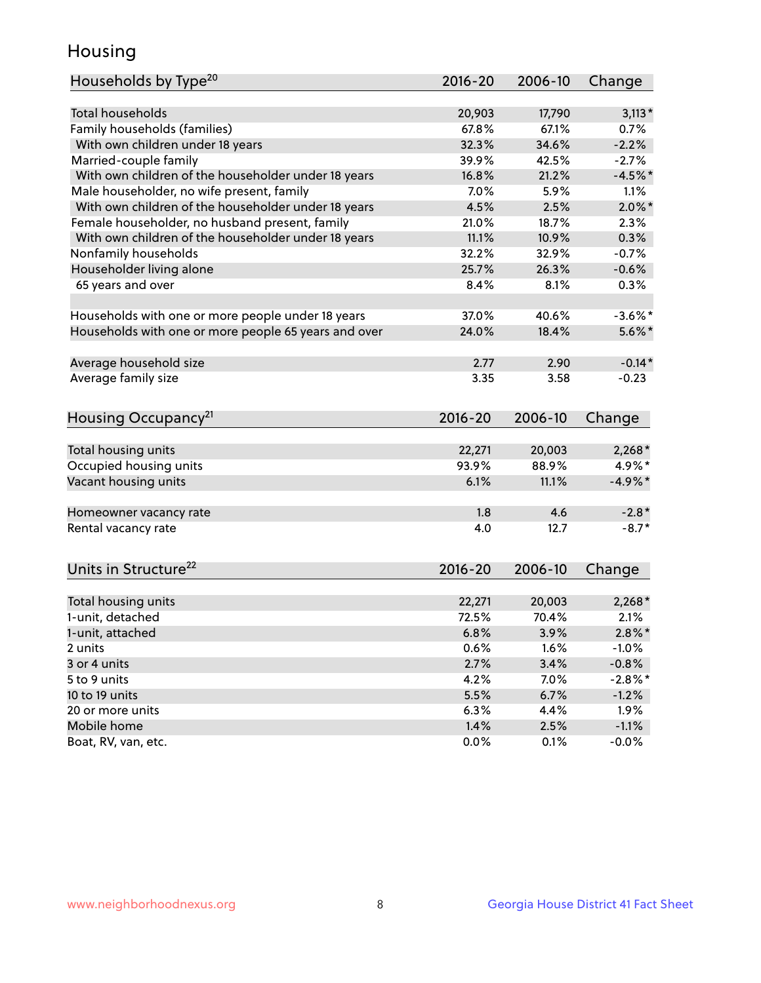## Housing

| Households by Type <sup>20</sup>                     | 2016-20     | 2006-10 | Change     |
|------------------------------------------------------|-------------|---------|------------|
|                                                      |             |         |            |
| <b>Total households</b>                              | 20,903      | 17,790  | $3,113*$   |
| Family households (families)                         | 67.8%       | 67.1%   | 0.7%       |
| With own children under 18 years                     | 32.3%       | 34.6%   | $-2.2%$    |
| Married-couple family                                | 39.9%       | 42.5%   | $-2.7%$    |
| With own children of the householder under 18 years  | 16.8%       | 21.2%   | $-4.5%$ *  |
| Male householder, no wife present, family            | 7.0%        | 5.9%    | 1.1%       |
| With own children of the householder under 18 years  | 4.5%        | 2.5%    | $2.0\%$ *  |
| Female householder, no husband present, family       | 21.0%       | 18.7%   | 2.3%       |
| With own children of the householder under 18 years  | 11.1%       | 10.9%   | 0.3%       |
| Nonfamily households                                 | 32.2%       | 32.9%   | $-0.7%$    |
| Householder living alone                             | 25.7%       | 26.3%   | $-0.6%$    |
| 65 years and over                                    | 8.4%        | 8.1%    | 0.3%       |
|                                                      |             |         |            |
| Households with one or more people under 18 years    | 37.0%       | 40.6%   | $-3.6\%$ * |
| Households with one or more people 65 years and over | 24.0%       | 18.4%   | $5.6\%$ *  |
|                                                      |             |         |            |
| Average household size                               | 2.77        | 2.90    | $-0.14*$   |
| Average family size                                  | 3.35        | 3.58    | $-0.23$    |
|                                                      |             |         |            |
| Housing Occupancy <sup>21</sup>                      | $2016 - 20$ | 2006-10 | Change     |
|                                                      |             |         |            |
| Total housing units                                  | 22,271      | 20,003  | $2,268*$   |
| Occupied housing units                               | 93.9%       | 88.9%   | 4.9%*      |
| Vacant housing units                                 | 6.1%        | 11.1%   | $-4.9\%*$  |
| Homeowner vacancy rate                               | 1.8         | 4.6     | $-2.8*$    |
| Rental vacancy rate                                  | 4.0         | 12.7    | $-8.7*$    |
|                                                      |             |         |            |
| Units in Structure <sup>22</sup>                     | $2016 - 20$ | 2006-10 | Change     |
|                                                      |             |         |            |
| Total housing units                                  | 22,271      | 20,003  | $2,268*$   |
| 1-unit, detached                                     | 72.5%       | 70.4%   | 2.1%       |
| 1-unit, attached                                     | 6.8%        | 3.9%    | $2.8\%$ *  |
| 2 units                                              | 0.6%        | 1.6%    | $-1.0%$    |
| 3 or 4 units                                         | 2.7%        | 3.4%    | $-0.8%$    |
| 5 to 9 units                                         | 4.2%        | 7.0%    | $-2.8\%$ * |
| 10 to 19 units                                       | 5.5%        | 6.7%    | $-1.2%$    |
| 20 or more units                                     | 6.3%        | 4.4%    | 1.9%       |
| Mobile home                                          | 1.4%        | 2.5%    | $-1.1%$    |
| Boat, RV, van, etc.                                  | 0.0%        | 0.1%    | $-0.0%$    |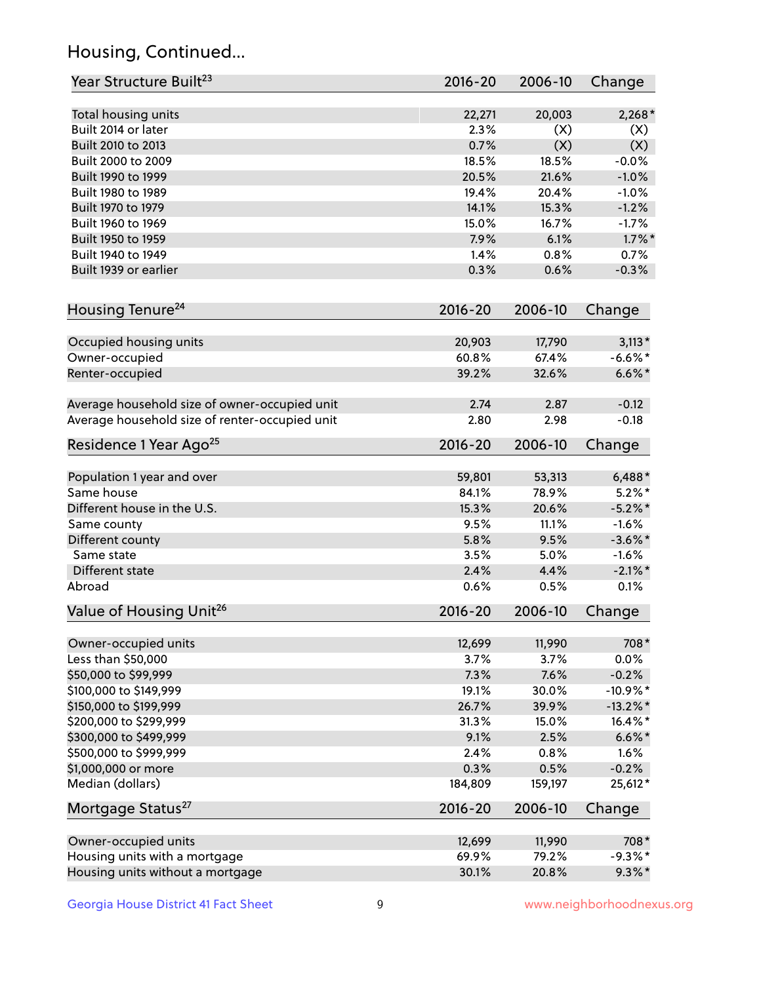## Housing, Continued...

| Year Structure Built <sup>23</sup>             | 2016-20     | 2006-10 | Change      |
|------------------------------------------------|-------------|---------|-------------|
| Total housing units                            | 22,271      | 20,003  | $2,268*$    |
| Built 2014 or later                            | 2.3%        | (X)     | (X)         |
| Built 2010 to 2013                             | 0.7%        | (X)     | (X)         |
| Built 2000 to 2009                             | 18.5%       | 18.5%   | $-0.0%$     |
| Built 1990 to 1999                             | 20.5%       | 21.6%   | $-1.0%$     |
| Built 1980 to 1989                             | 19.4%       | 20.4%   | $-1.0%$     |
| Built 1970 to 1979                             | 14.1%       | 15.3%   | $-1.2%$     |
| Built 1960 to 1969                             | 15.0%       | 16.7%   | $-1.7%$     |
| Built 1950 to 1959                             | 7.9%        | 6.1%    | $1.7\%$ *   |
| Built 1940 to 1949                             | 1.4%        | 0.8%    | 0.7%        |
| Built 1939 or earlier                          | 0.3%        | 0.6%    | $-0.3%$     |
| Housing Tenure <sup>24</sup>                   | $2016 - 20$ | 2006-10 | Change      |
|                                                |             |         |             |
| Occupied housing units                         | 20,903      | 17,790  | $3,113*$    |
| Owner-occupied                                 | 60.8%       | 67.4%   | $-6.6\%$ *  |
| Renter-occupied                                | 39.2%       | 32.6%   | $6.6\%*$    |
| Average household size of owner-occupied unit  | 2.74        | 2.87    | $-0.12$     |
| Average household size of renter-occupied unit | 2.80        | 2.98    | $-0.18$     |
| Residence 1 Year Ago <sup>25</sup>             | $2016 - 20$ | 2006-10 | Change      |
| Population 1 year and over                     | 59,801      | 53,313  | $6,488*$    |
| Same house                                     | 84.1%       | 78.9%   | $5.2\%$ *   |
| Different house in the U.S.                    | 15.3%       | 20.6%   | $-5.2\%$ *  |
| Same county                                    | 9.5%        | 11.1%   | $-1.6%$     |
| Different county                               | 5.8%        | 9.5%    | $-3.6\%$ *  |
| Same state                                     | 3.5%        | 5.0%    | $-1.6%$     |
| Different state                                | 2.4%        | 4.4%    | $-2.1\%$ *  |
| Abroad                                         | 0.6%        | 0.5%    | 0.1%        |
| Value of Housing Unit <sup>26</sup>            | $2016 - 20$ | 2006-10 | Change      |
| Owner-occupied units                           | 12,699      | 11,990  | 708*        |
| Less than \$50,000                             | 3.7%        | 3.7%    | 0.0%        |
| \$50,000 to \$99,999                           | 7.3%        | 7.6%    | $-0.2%$     |
| \$100,000 to \$149,999                         | 19.1%       | 30.0%   | $-10.9\%$ * |
| \$150,000 to \$199,999                         | 26.7%       | 39.9%   | $-13.2\%$ * |
| \$200,000 to \$299,999                         | 31.3%       | 15.0%   | 16.4%*      |
| \$300,000 to \$499,999                         | 9.1%        | 2.5%    | $6.6\% *$   |
| \$500,000 to \$999,999                         | 2.4%        | 0.8%    | 1.6%        |
| \$1,000,000 or more                            | 0.3%        | 0.5%    | $-0.2%$     |
| Median (dollars)                               | 184,809     | 159,197 | 25,612*     |
| Mortgage Status <sup>27</sup>                  | $2016 - 20$ | 2006-10 | Change      |
| Owner-occupied units                           | 12,699      | 11,990  | 708*        |
| Housing units with a mortgage                  | 69.9%       | 79.2%   | $-9.3\%$ *  |
| Housing units without a mortgage               | 30.1%       | 20.8%   | $9.3\%$ *   |
|                                                |             |         |             |

Georgia House District 41 Fact Sheet 9 9 9 www.neighborhoodnexus.org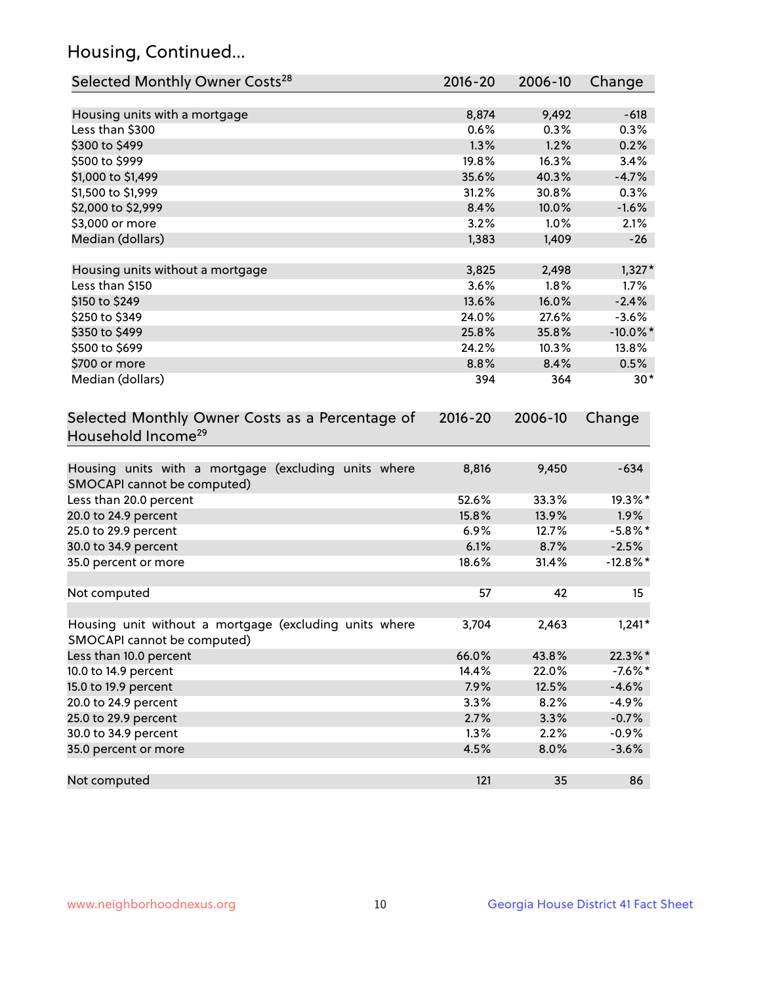## Housing, Continued...

| Selected Monthly Owner Costs <sup>28</sup>                                            | 2016-20     | 2006-10 | Change      |
|---------------------------------------------------------------------------------------|-------------|---------|-------------|
| Housing units with a mortgage                                                         | 8,874       | 9,492   | $-618$      |
| Less than \$300                                                                       | 0.6%        | 0.3%    | 0.3%        |
| \$300 to \$499                                                                        | 1.3%        | 1.2%    | 0.2%        |
| \$500 to \$999                                                                        | 19.8%       | 16.3%   | 3.4%        |
| \$1,000 to \$1,499                                                                    | 35.6%       | 40.3%   | $-4.7%$     |
| \$1,500 to \$1,999                                                                    | 31.2%       | 30.8%   | 0.3%        |
| \$2,000 to \$2,999                                                                    | 8.4%        | 10.0%   | $-1.6%$     |
| \$3,000 or more                                                                       | 3.2%        | 1.0%    | 2.1%        |
| Median (dollars)                                                                      | 1,383       | 1,409   | $-26$       |
|                                                                                       |             |         |             |
| Housing units without a mortgage                                                      | 3,825       | 2,498   | $1,327*$    |
| Less than \$150                                                                       | 3.6%        | 1.8%    | 1.7%        |
| \$150 to \$249                                                                        | 13.6%       | 16.0%   | $-2.4%$     |
| \$250 to \$349                                                                        | 24.0%       | 27.6%   | $-3.6%$     |
| \$350 to \$499                                                                        | 25.8%       | 35.8%   | $-10.0\%$ * |
| \$500 to \$699                                                                        | 24.2%       | 10.3%   | 13.8%       |
| \$700 or more                                                                         | 8.8%        | 8.4%    | 0.5%        |
| Median (dollars)                                                                      | 394         | 364     | $30*$       |
| Selected Monthly Owner Costs as a Percentage of<br>Household Income <sup>29</sup>     | $2016 - 20$ | 2006-10 | Change      |
| Housing units with a mortgage (excluding units where<br>SMOCAPI cannot be computed)   | 8,816       | 9,450   | $-634$      |
| Less than 20.0 percent                                                                | 52.6%       | 33.3%   | 19.3%*      |
| 20.0 to 24.9 percent                                                                  | 15.8%       | 13.9%   | $1.9\%$     |
| 25.0 to 29.9 percent                                                                  | 6.9%        | 12.7%   | $-5.8\%$ *  |
| 30.0 to 34.9 percent                                                                  | 6.1%        | 8.7%    | $-2.5%$     |
| 35.0 percent or more                                                                  | 18.6%       | 31.4%   | $-12.8\%$ * |
| Not computed                                                                          | 57          | 42      | 15          |
| Housing unit without a mortgage (excluding units where<br>SMOCAPI cannot be computed) | 3,704       | 2,463   | $1,241*$    |
| Less than 10.0 percent                                                                | 66.0%       | 43.8%   | 22.3%*      |
| 10.0 to 14.9 percent                                                                  | 14.4%       | 22.0%   | $-7.6\%$ *  |
| 15.0 to 19.9 percent                                                                  | 7.9%        | 12.5%   | $-4.6%$     |
| 20.0 to 24.9 percent                                                                  | 3.3%        | 8.2%    | $-4.9%$     |
| 25.0 to 29.9 percent                                                                  | 2.7%        | 3.3%    | $-0.7%$     |
| 30.0 to 34.9 percent                                                                  | 1.3%        | 2.2%    | $-0.9%$     |
| 35.0 percent or more                                                                  | 4.5%        | 8.0%    | $-3.6%$     |
| Not computed                                                                          | 121         | 35      | 86          |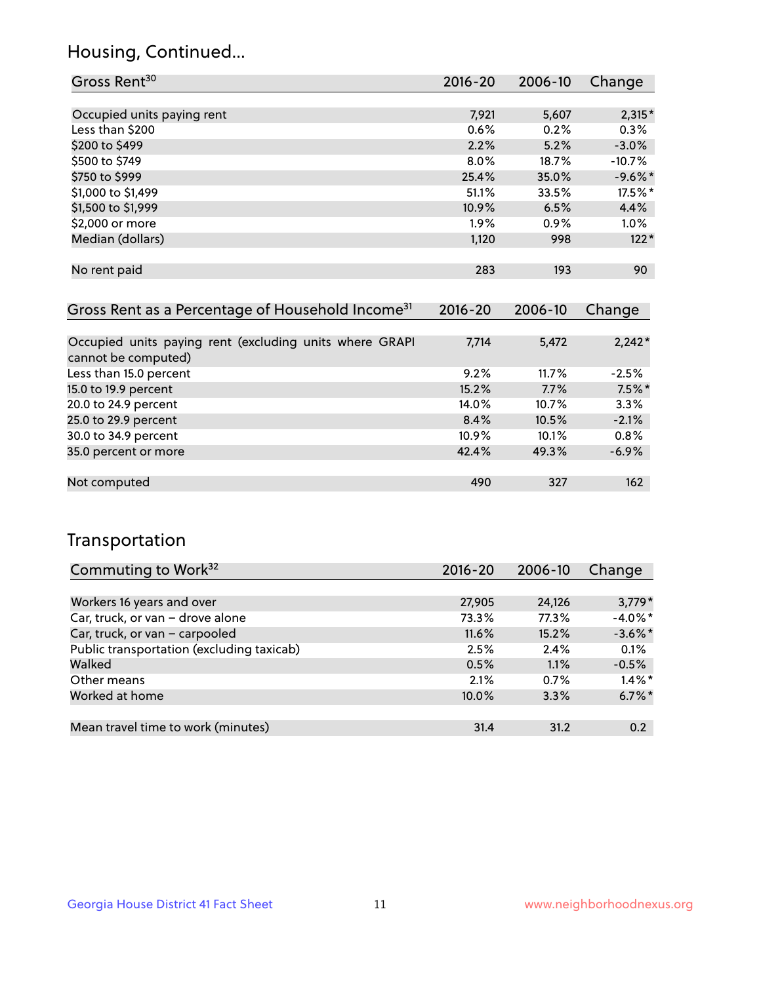## Housing, Continued...

| Gross Rent <sup>30</sup>   | 2016-20 | 2006-10 | Change    |
|----------------------------|---------|---------|-----------|
|                            |         |         |           |
| Occupied units paying rent | 7,921   | 5,607   | $2,315*$  |
| Less than \$200            | 0.6%    | 0.2%    | 0.3%      |
| \$200 to \$499             | 2.2%    | 5.2%    | $-3.0\%$  |
| \$500 to \$749             | $8.0\%$ | 18.7%   | $-10.7%$  |
| \$750 to \$999             | 25.4%   | 35.0%   | $-9.6%$ * |
| \$1,000 to \$1,499         | 51.1%   | 33.5%   | 17.5%*    |
| \$1,500 to \$1,999         | 10.9%   | 6.5%    | 4.4%      |
| \$2,000 or more            | 1.9%    | 0.9%    | $1.0\%$   |
| Median (dollars)           | 1,120   | 998     | $122*$    |
|                            |         |         |           |
| No rent paid               | 283     | 193     | 90        |
|                            |         |         |           |

| Gross Rent as a Percentage of Household Income <sup>31</sup>                   | $2016 - 20$ | 2006-10 | Change   |
|--------------------------------------------------------------------------------|-------------|---------|----------|
|                                                                                |             |         |          |
| Occupied units paying rent (excluding units where GRAPI<br>cannot be computed) | 7,714       | 5,472   | $2,242*$ |
| Less than 15.0 percent                                                         | 9.2%        | 11.7%   | $-2.5%$  |
| 15.0 to 19.9 percent                                                           | 15.2%       | 7.7%    | $7.5%$ * |
| 20.0 to 24.9 percent                                                           | 14.0%       | 10.7%   | 3.3%     |
| 25.0 to 29.9 percent                                                           | 8.4%        | 10.5%   | $-2.1%$  |
| 30.0 to 34.9 percent                                                           | $10.9\%$    | 10.1%   | 0.8%     |
| 35.0 percent or more                                                           | 42.4%       | 49.3%   | $-6.9%$  |
|                                                                                |             |         |          |
| Not computed                                                                   | 490         | 327     | 162      |

## Transportation

| Commuting to Work <sup>32</sup>           | 2016-20 | 2006-10 | Change     |
|-------------------------------------------|---------|---------|------------|
|                                           |         |         |            |
| Workers 16 years and over                 | 27,905  | 24,126  | $3,779*$   |
| Car, truck, or van - drove alone          | 73.3%   | 77.3%   | $-4.0\%$ * |
| Car, truck, or van - carpooled            | 11.6%   | 15.2%   | $-3.6\%$ * |
| Public transportation (excluding taxicab) | 2.5%    | 2.4%    | 0.1%       |
| Walked                                    | 0.5%    | 1.1%    | $-0.5%$    |
| Other means                               | 2.1%    | 0.7%    | $1.4\%$ *  |
| Worked at home                            | 10.0%   | 3.3%    | $6.7\%$ *  |
|                                           |         |         |            |
| Mean travel time to work (minutes)        | 31.4    | 31.2    | 0.2        |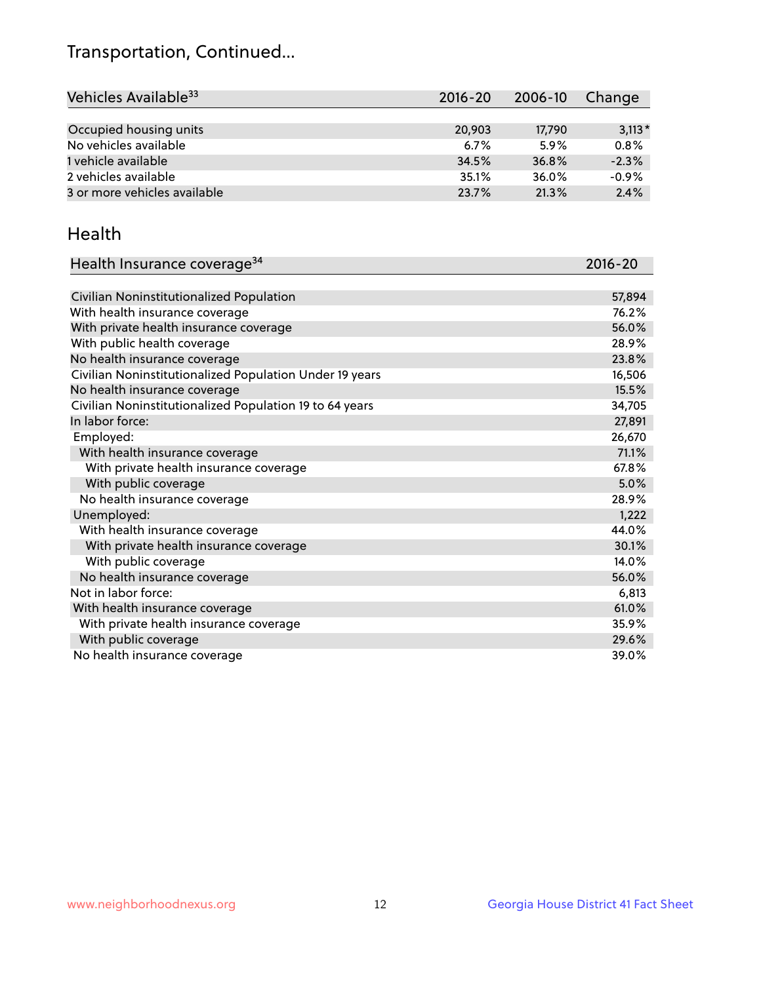## Transportation, Continued...

| Vehicles Available <sup>33</sup> | $2016 - 20$ | 2006-10 | Change   |
|----------------------------------|-------------|---------|----------|
|                                  |             |         |          |
| Occupied housing units           | 20,903      | 17,790  | $3,113*$ |
| No vehicles available            | 6.7%        | 5.9%    | 0.8%     |
| 1 vehicle available              | 34.5%       | 36.8%   | $-2.3%$  |
| 2 vehicles available             | 35.1%       | 36.0%   | $-0.9%$  |
| 3 or more vehicles available     | 23.7%       | 21.3%   | 2.4%     |

#### Health

| Health Insurance coverage <sup>34</sup>                 | 2016-20 |
|---------------------------------------------------------|---------|
|                                                         |         |
| Civilian Noninstitutionalized Population                | 57,894  |
| With health insurance coverage                          | 76.2%   |
| With private health insurance coverage                  | 56.0%   |
| With public health coverage                             | 28.9%   |
| No health insurance coverage                            | 23.8%   |
| Civilian Noninstitutionalized Population Under 19 years | 16,506  |
| No health insurance coverage                            | 15.5%   |
| Civilian Noninstitutionalized Population 19 to 64 years | 34,705  |
| In labor force:                                         | 27,891  |
| Employed:                                               | 26,670  |
| With health insurance coverage                          | 71.1%   |
| With private health insurance coverage                  | 67.8%   |
| With public coverage                                    | 5.0%    |
| No health insurance coverage                            | 28.9%   |
| Unemployed:                                             | 1,222   |
| With health insurance coverage                          | 44.0%   |
| With private health insurance coverage                  | 30.1%   |
| With public coverage                                    | 14.0%   |
| No health insurance coverage                            | 56.0%   |
| Not in labor force:                                     | 6,813   |
| With health insurance coverage                          | 61.0%   |
| With private health insurance coverage                  | 35.9%   |
| With public coverage                                    | 29.6%   |
| No health insurance coverage                            | 39.0%   |